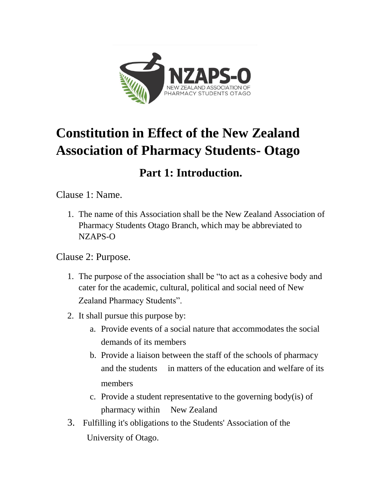

# **Constitution in Effect of the New Zealand Association of Pharmacy Students- Otago**

## **Part 1: Introduction.**

Clause 1: Name.

1. The name of this Association shall be the New Zealand Association of Pharmacy Students Otago Branch, which may be abbreviated to NZAPS-O

Clause 2: Purpose.

- 1. The purpose of the association shall be "to act as a cohesive body and cater for the academic, cultural, political and social need of New Zealand Pharmacy Students".
- 2. It shall pursue this purpose by:
	- a. Provide events of a social nature that accommodates the social demands of its members
	- b. Provide a liaison between the staff of the schools of pharmacy and the students in matters of the education and welfare of its members
	- c. Provide a student representative to the governing body(is) of pharmacy within New Zealand
- 3. Fulfilling it's obligations to the Students' Association of the University of Otago.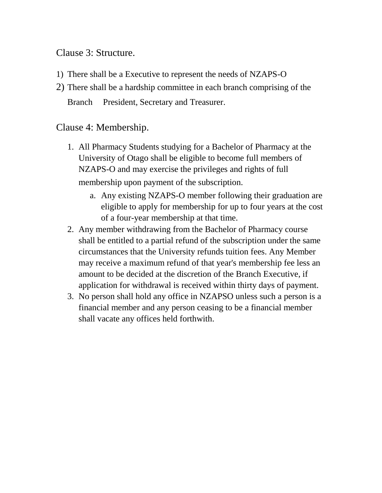#### Clause 3: Structure.

- 1) There shall be a Executive to represent the needs of NZAPS-O
- 2) There shall be a hardship committee in each branch comprising of the Branch President, Secretary and Treasurer.

### Clause 4: Membership.

- 1. All Pharmacy Students studying for a Bachelor of Pharmacy at the University of Otago shall be eligible to become full members of NZAPS-O and may exercise the privileges and rights of full membership upon payment of the subscription.
	- a. Any existing NZAPS-O member following their graduation are eligible to apply for membership for up to four years at the cost of a four-year membership at that time.
- 2. Any member withdrawing from the Bachelor of Pharmacy course shall be entitled to a partial refund of the subscription under the same circumstances that the University refunds tuition fees. Any Member may receive a maximum refund of that year's membership fee less an amount to be decided at the discretion of the Branch Executive, if application for withdrawal is received within thirty days of payment.
- 3. No person shall hold any office in NZAPSO unless such a person is a financial member and any person ceasing to be a financial member shall vacate any offices held forthwith.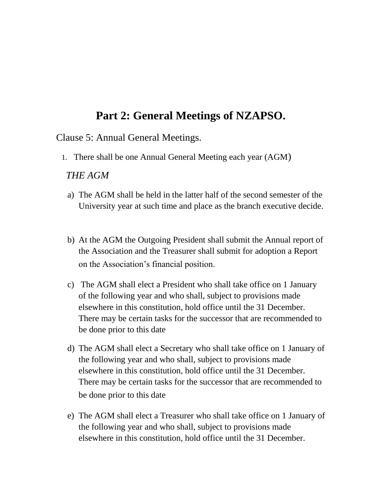### **Part 2: General Meetings of NZAPSO.**

Clause 5: Annual General Meetings.

1. There shall be one Annual General Meeting each year (AGM)

#### *THE AGM*

- a) The AGM shall be held in the latter half of the second semester of the University year at such time and place as the branch executive decide.
- b) At the AGM the Outgoing President shall submit the Annual report of the Association and the Treasurer shall submit for adoption a Report on the Association's financial position.
- c) The AGM shall elect a President who shall take office on 1 January of the following year and who shall, subject to provisions made elsewhere in this constitution, hold office until the 31 December. There may be certain tasks for the successor that are recommended to be done prior to this date
- d) The AGM shall elect a Secretary who shall take office on 1 January of the following year and who shall, subject to provisions made elsewhere in this constitution, hold office until the 31 December. There may be certain tasks for the successor that are recommended to be done prior to this date
- e) The AGM shall elect a Treasurer who shall take office on 1 January of the following year and who shall, subject to provisions made elsewhere in this constitution, hold office until the 31 December.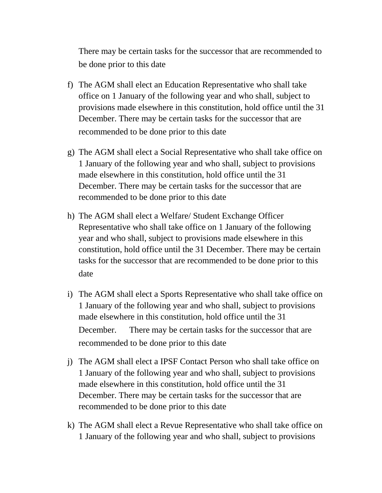There may be certain tasks for the successor that are recommended to be done prior to this date

- f) The AGM shall elect an Education Representative who shall take office on 1 January of the following year and who shall, subject to provisions made elsewhere in this constitution, hold office until the 31 December. There may be certain tasks for the successor that are recommended to be done prior to this date
- g) The AGM shall elect a Social Representative who shall take office on 1 January of the following year and who shall, subject to provisions made elsewhere in this constitution, hold office until the 31 December. There may be certain tasks for the successor that are recommended to be done prior to this date
- h) The AGM shall elect a Welfare/ Student Exchange Officer Representative who shall take office on 1 January of the following year and who shall, subject to provisions made elsewhere in this constitution, hold office until the 31 December. There may be certain tasks for the successor that are recommended to be done prior to this date
- i) The AGM shall elect a Sports Representative who shall take office on 1 January of the following year and who shall, subject to provisions made elsewhere in this constitution, hold office until the 31 December. There may be certain tasks for the successor that are recommended to be done prior to this date
- j) The AGM shall elect a IPSF Contact Person who shall take office on 1 January of the following year and who shall, subject to provisions made elsewhere in this constitution, hold office until the 31 December. There may be certain tasks for the successor that are recommended to be done prior to this date
- k) The AGM shall elect a Revue Representative who shall take office on 1 January of the following year and who shall, subject to provisions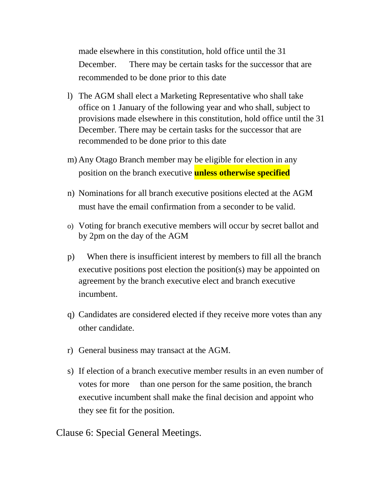made elsewhere in this constitution, hold office until the 31 December. There may be certain tasks for the successor that are recommended to be done prior to this date

- l) The AGM shall elect a Marketing Representative who shall take office on 1 January of the following year and who shall, subject to provisions made elsewhere in this constitution, hold office until the 31 December. There may be certain tasks for the successor that are recommended to be done prior to this date
- m) Any Otago Branch member may be eligible for election in any position on the branch executive **unless otherwise specified**
- n) Nominations for all branch executive positions elected at the AGM must have the email confirmation from a seconder to be valid.
- o) Voting for branch executive members will occur by secret ballot and by 2pm on the day of the AGM
- p) When there is insufficient interest by members to fill all the branch executive positions post election the position(s) may be appointed on agreement by the branch executive elect and branch executive incumbent.
- q) Candidates are considered elected if they receive more votes than any other candidate.
- r) General business may transact at the AGM.
- s) If election of a branch executive member results in an even number of votes for more than one person for the same position, the branch executive incumbent shall make the final decision and appoint who they see fit for the position.

Clause 6: Special General Meetings.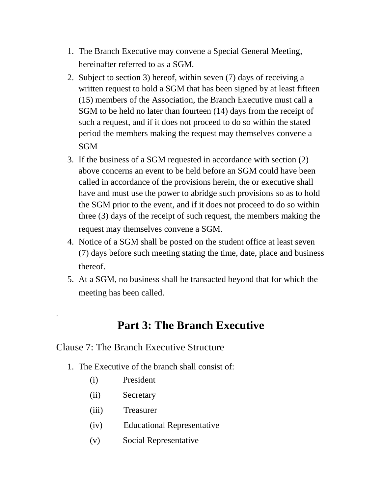- 1. The Branch Executive may convene a Special General Meeting, hereinafter referred to as a SGM.
- 2. Subject to section 3) hereof, within seven (7) days of receiving a written request to hold a SGM that has been signed by at least fifteen (15) members of the Association, the Branch Executive must call a SGM to be held no later than fourteen (14) days from the receipt of such a request, and if it does not proceed to do so within the stated period the members making the request may themselves convene a SGM
- 3. If the business of a SGM requested in accordance with section (2) above concerns an event to be held before an SGM could have been called in accordance of the provisions herein, the or executive shall have and must use the power to abridge such provisions so as to hold the SGM prior to the event, and if it does not proceed to do so within three (3) days of the receipt of such request, the members making the request may themselves convene a SGM.
- 4. Notice of a SGM shall be posted on the student office at least seven (7) days before such meeting stating the time, date, place and business thereof.
- 5. At a SGM, no business shall be transacted beyond that for which the meeting has been called.

### **Part 3: The Branch Executive**

#### Clause 7: The Branch Executive Structure

- 1. The Executive of the branch shall consist of:
	- (i) President

.

- (ii) Secretary
- (iii) Treasurer
- (iv) Educational Representative
- (v) Social Representative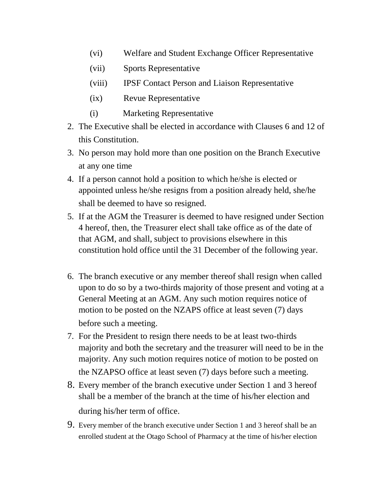- (vi) Welfare and Student Exchange Officer Representative
- (vii) Sports Representative
- (viii) IPSF Contact Person and Liaison Representative
- (ix) Revue Representative
- (i) Marketing Representative
- 2. The Executive shall be elected in accordance with Clauses 6 and 12 of this Constitution.
- 3. No person may hold more than one position on the Branch Executive at any one time
- 4. If a person cannot hold a position to which he/she is elected or appointed unless he/she resigns from a position already held, she/he shall be deemed to have so resigned.
- 5. If at the AGM the Treasurer is deemed to have resigned under Section 4 hereof, then, the Treasurer elect shall take office as of the date of that AGM, and shall, subject to provisions elsewhere in this constitution hold office until the 31 December of the following year.
- 6. The branch executive or any member thereof shall resign when called upon to do so by a two-thirds majority of those present and voting at a General Meeting at an AGM. Any such motion requires notice of motion to be posted on the NZAPS office at least seven (7) days before such a meeting.
- 7. For the President to resign there needs to be at least two-thirds majority and both the secretary and the treasurer will need to be in the majority. Any such motion requires notice of motion to be posted on the NZAPSO office at least seven (7) days before such a meeting.
- 8. Every member of the branch executive under Section 1 and 3 hereof shall be a member of the branch at the time of his/her election and during his/her term of office.
- 9. Every member of the branch executive under Section 1 and 3 hereof shall be an enrolled student at the Otago School of Pharmacy at the time of his/her election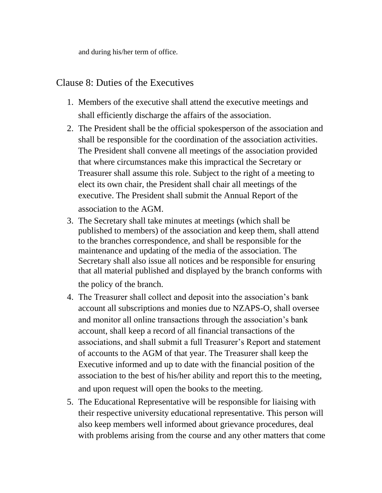and during his/her term of office.

### Clause 8: Duties of the Executives

- 1. Members of the executive shall attend the executive meetings and shall efficiently discharge the affairs of the association.
- 2. The President shall be the official spokesperson of the association and shall be responsible for the coordination of the association activities. The President shall convene all meetings of the association provided that where circumstances make this impractical the Secretary or Treasurer shall assume this role. Subject to the right of a meeting to elect its own chair, the President shall chair all meetings of the executive. The President shall submit the Annual Report of the association to the AGM.
- 3. The Secretary shall take minutes at meetings (which shall be published to members) of the association and keep them, shall attend to the branches correspondence, and shall be responsible for the maintenance and updating of the media of the association. The Secretary shall also issue all notices and be responsible for ensuring that all material published and displayed by the branch conforms with the policy of the branch.

- 4. The Treasurer shall collect and deposit into the association's bank account all subscriptions and monies due to NZAPS-O, shall oversee and monitor all online transactions through the association's bank account, shall keep a record of all financial transactions of the associations, and shall submit a full Treasurer's Report and statement of accounts to the AGM of that year. The Treasurer shall keep the Executive informed and up to date with the financial position of the association to the best of his/her ability and report this to the meeting, and upon request will open the books to the meeting.
- 5. The Educational Representative will be responsible for liaising with their respective university educational representative. This person will also keep members well informed about grievance procedures, deal with problems arising from the course and any other matters that come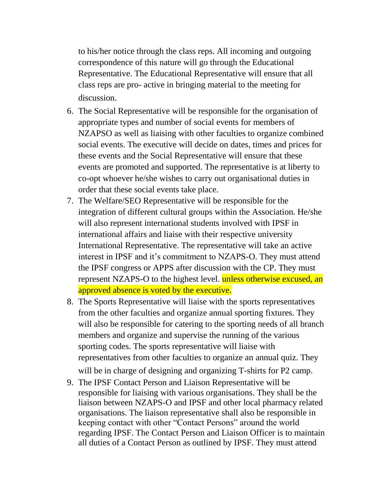to his/her notice through the class reps. All incoming and outgoing correspondence of this nature will go through the Educational Representative. The Educational Representative will ensure that all class reps are pro- active in bringing material to the meeting for discussion.

- 6. The Social Representative will be responsible for the organisation of appropriate types and number of social events for members of NZAPSO as well as liaising with other faculties to organize combined social events. The executive will decide on dates, times and prices for these events and the Social Representative will ensure that these events are promoted and supported. The representative is at liberty to co-opt whoever he/she wishes to carry out organisational duties in order that these social events take place.
- 7. The Welfare/SEO Representative will be responsible for the integration of different cultural groups within the Association. He/she will also represent international students involved with IPSF in international affairs and liaise with their respective university International Representative. The representative will take an active interest in IPSF and it's commitment to NZAPS-O. They must attend the IPSF congress or APPS after discussion with the CP. They must represent NZAPS-O to the highest level. unless otherwise excused, an approved absence is voted by the executive.
- 8. The Sports Representative will liaise with the sports representatives from the other faculties and organize annual sporting fixtures. They will also be responsible for catering to the sporting needs of all branch members and organize and supervise the running of the various sporting codes. The sports representative will liaise with representatives from other faculties to organize an annual quiz. They will be in charge of designing and organizing T-shirts for P2 camp.
- 9. The IPSF Contact Person and Liaison Representative will be responsible for liaising with various organisations. They shall be the liaison between NZAPS-O and IPSF and other local pharmacy related organisations. The liaison representative shall also be responsible in keeping contact with other "Contact Persons" around the world regarding IPSF. The Contact Person and Liaison Officer is to maintain all duties of a Contact Person as outlined by IPSF. They must attend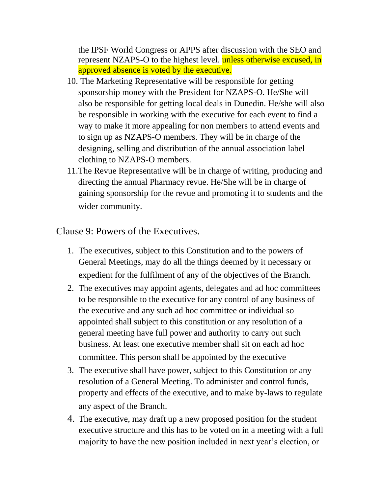the IPSF World Congress or APPS after discussion with the SEO and represent NZAPS-O to the highest level. unless otherwise excused, in approved absence is voted by the executive.

- 10. The Marketing Representative will be responsible for getting sponsorship money with the President for NZAPS-O. He/She will also be responsible for getting local deals in Dunedin. He/she will also be responsible in working with the executive for each event to find a way to make it more appealing for non members to attend events and to sign up as NZAPS-O members. They will be in charge of the designing, selling and distribution of the annual association label clothing to NZAPS-O members.
- 11.The Revue Representative will be in charge of writing, producing and directing the annual Pharmacy revue. He/She will be in charge of gaining sponsorship for the revue and promoting it to students and the wider community.

Clause 9: Powers of the Executives.

- 1. The executives, subject to this Constitution and to the powers of General Meetings, may do all the things deemed by it necessary or expedient for the fulfilment of any of the objectives of the Branch.
- 2. The executives may appoint agents, delegates and ad hoc committees to be responsible to the executive for any control of any business of the executive and any such ad hoc committee or individual so appointed shall subject to this constitution or any resolution of a general meeting have full power and authority to carry out such business. At least one executive member shall sit on each ad hoc committee. This person shall be appointed by the executive
- 3. The executive shall have power, subject to this Constitution or any resolution of a General Meeting. To administer and control funds, property and effects of the executive, and to make by-laws to regulate any aspect of the Branch.
- 4. The executive, may draft up a new proposed position for the student executive structure and this has to be voted on in a meeting with a full majority to have the new position included in next year's election, or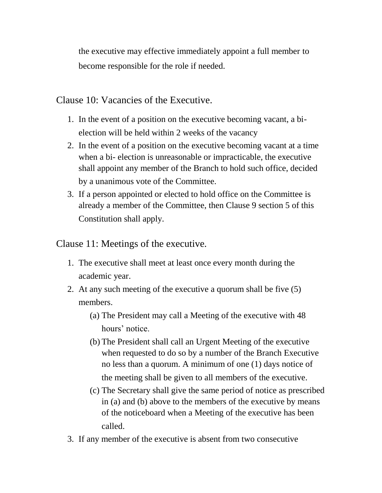the executive may effective immediately appoint a full member to become responsible for the role if needed.

Clause 10: Vacancies of the Executive.

- 1. In the event of a position on the executive becoming vacant, a bielection will be held within 2 weeks of the vacancy
- 2. In the event of a position on the executive becoming vacant at a time when a bi- election is unreasonable or impracticable, the executive shall appoint any member of the Branch to hold such office, decided by a unanimous vote of the Committee.
- 3. If a person appointed or elected to hold office on the Committee is already a member of the Committee, then Clause 9 section 5 of this Constitution shall apply.

Clause 11: Meetings of the executive.

- 1. The executive shall meet at least once every month during the academic year.
- 2. At any such meeting of the executive a quorum shall be five (5) members.
	- (a) The President may call a Meeting of the executive with 48 hours' notice.
	- (b) The President shall call an Urgent Meeting of the executive when requested to do so by a number of the Branch Executive no less than a quorum. A minimum of one (1) days notice of the meeting shall be given to all members of the executive.
	- (c) The Secretary shall give the same period of notice as prescribed in (a) and (b) above to the members of the executive by means of the noticeboard when a Meeting of the executive has been called.
- 3. If any member of the executive is absent from two consecutive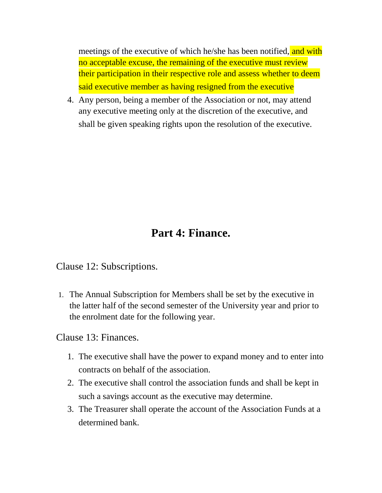meetings of the executive of which he/she has been notified, and with no acceptable excuse, the remaining of the executive must review their participation in their respective role and assess whether to deem said executive member as having resigned from the executive

4. Any person, being a member of the Association or not, may attend any executive meeting only at the discretion of the executive, and shall be given speaking rights upon the resolution of the executive.

### **Part 4: Finance.**

Clause 12: Subscriptions.

1. The Annual Subscription for Members shall be set by the executive in the latter half of the second semester of the University year and prior to the enrolment date for the following year.

Clause 13: Finances.

- 1. The executive shall have the power to expand money and to enter into contracts on behalf of the association.
- 2. The executive shall control the association funds and shall be kept in such a savings account as the executive may determine.
- 3. The Treasurer shall operate the account of the Association Funds at a determined bank.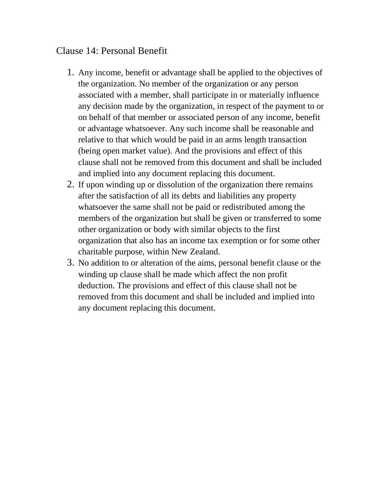### Clause 14: Personal Benefit

- 1. Any income, benefit or advantage shall be applied to the objectives of the organization. No member of the organization or any person associated with a member, shall participate in or materially influence any decision made by the organization, in respect of the payment to or on behalf of that member or associated person of any income, benefit or advantage whatsoever. Any such income shall be reasonable and relative to that which would be paid in an arms length transaction (being open market value). And the provisions and effect of this clause shall not be removed from this document and shall be included and implied into any document replacing this document.
- 2. If upon winding up or dissolution of the organization there remains after the satisfaction of all its debts and liabilities any property whatsoever the same shall not be paid or redistributed among the members of the organization but shall be given or transferred to some other organization or body with similar objects to the first organization that also has an income tax exemption or for some other charitable purpose, within New Zealand.
- 3. No addition to or alteration of the aims, personal benefit clause or the winding up clause shall be made which affect the non profit deduction. The provisions and effect of this clause shall not be removed from this document and shall be included and implied into any document replacing this document.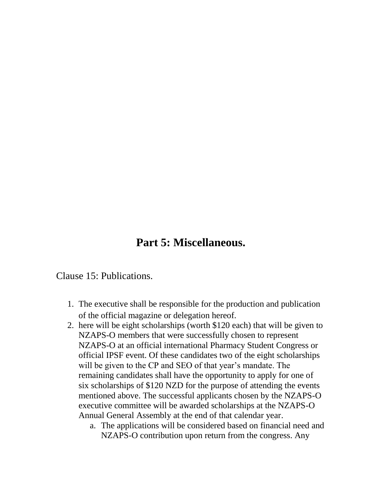### **Part 5: Miscellaneous.**

Clause 15: Publications.

- 1. The executive shall be responsible for the production and publication of the official magazine or delegation hereof.
- 2. here will be eight scholarships (worth \$120 each) that will be given to NZAPS-O members that were successfully chosen to represent NZAPS-O at an official international Pharmacy Student Congress or official IPSF event. Of these candidates two of the eight scholarships will be given to the CP and SEO of that year's mandate. The remaining candidates shall have the opportunity to apply for one of six scholarships of \$120 NZD for the purpose of attending the events mentioned above. The successful applicants chosen by the NZAPS-O executive committee will be awarded scholarships at the NZAPS-O Annual General Assembly at the end of that calendar year.
	- a. The applications will be considered based on financial need and NZAPS-O contribution upon return from the congress. Any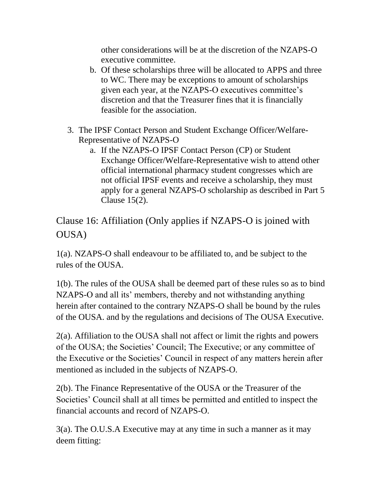other considerations will be at the discretion of the NZAPS-O executive committee.

- b. Of these scholarships three will be allocated to APPS and three to WC. There may be exceptions to amount of scholarships given each year, at the NZAPS-O executives committee's discretion and that the Treasurer fines that it is financially feasible for the association.
- 3. The IPSF Contact Person and Student Exchange Officer/Welfare-Representative of NZAPS-O
	- a. If the NZAPS-O IPSF Contact Person (CP) or Student Exchange Officer/Welfare-Representative wish to attend other official international pharmacy student congresses which are not official IPSF events and receive a scholarship, they must apply for a general NZAPS-O scholarship as described in Part 5 Clause 15(2).

Clause 16: Affiliation (Only applies if NZAPS-O is joined with OUSA)

1(a). NZAPS-O shall endeavour to be affiliated to, and be subject to the rules of the OUSA.

1(b). The rules of the OUSA shall be deemed part of these rules so as to bind NZAPS-O and all its' members, thereby and not withstanding anything herein after contained to the contrary NZAPS-O shall be bound by the rules of the OUSA. and by the regulations and decisions of The OUSA Executive.

2(a). Affiliation to the OUSA shall not affect or limit the rights and powers of the OUSA; the Societies' Council; The Executive; or any committee of the Executive or the Societies' Council in respect of any matters herein after mentioned as included in the subjects of NZAPS-O.

2(b). The Finance Representative of the OUSA or the Treasurer of the Societies' Council shall at all times be permitted and entitled to inspect the financial accounts and record of NZAPS-O.

3(a). The O.U.S.A Executive may at any time in such a manner as it may deem fitting: